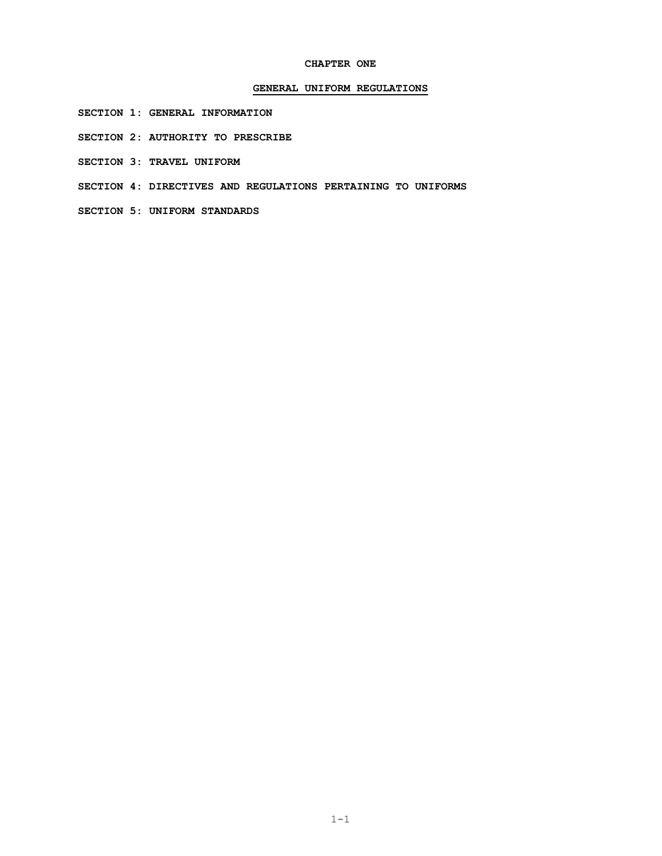# **GENERAL UNIFORM REGULATIONS**

- **SECTION 1: GENERAL INFORMATION**
- **SECTION 2: AUTHORITY TO PRESCRIBE**
- **SECTION 3: TRAVEL UNIFORM**
- **SECTION 4: DIRECTIVES AND REGULATIONS PERTAINING TO UNIFORMS**
- **SECTION 5: UNIFORM STANDARDS**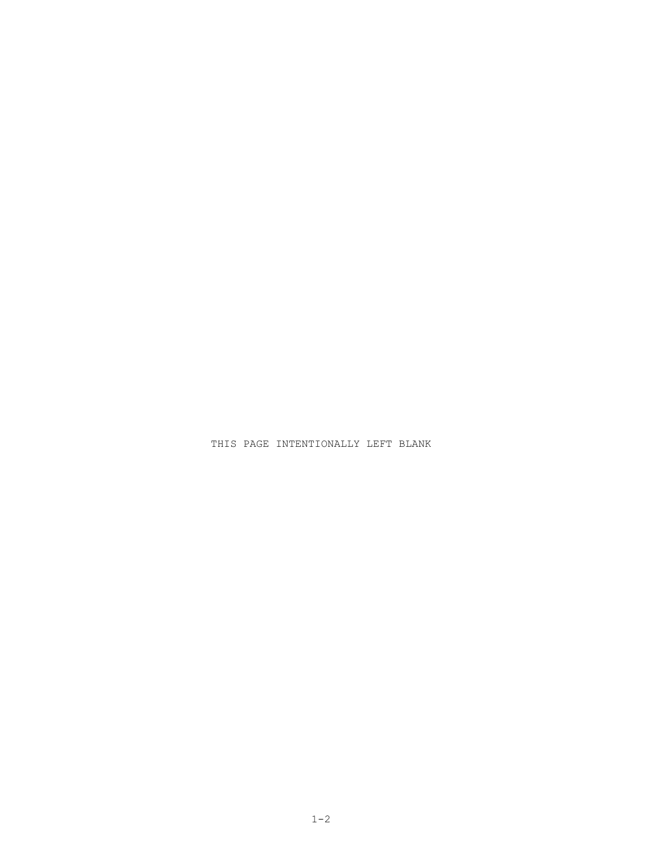THIS PAGE INTENTIONALLY LEFT BLANK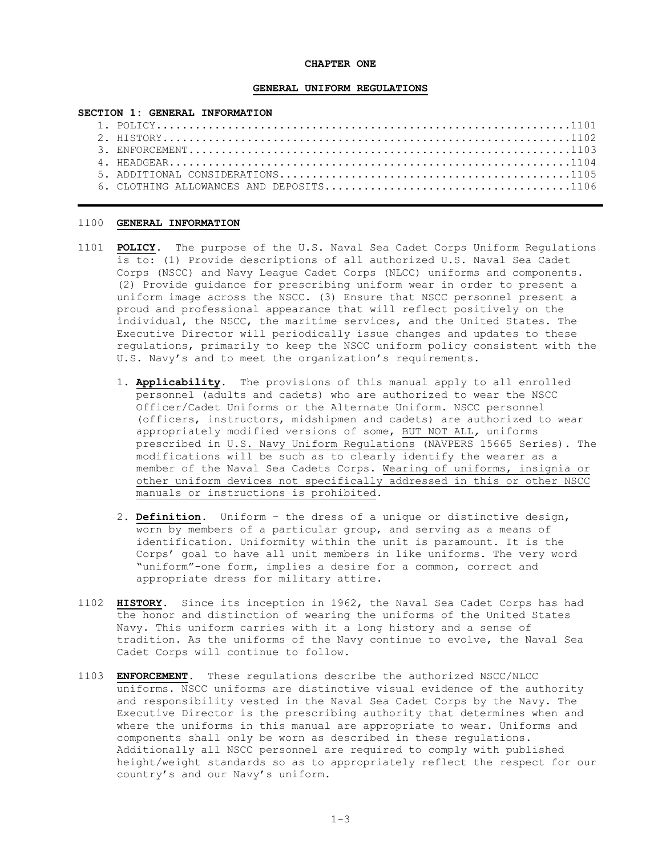## **GENERAL UNIFORM REGULATIONS**

# **SECTION 1: GENERAL INFORMATION**

# 1100 **GENERAL INFORMATION**

- 1101 **POLICY.** The purpose of the U.S. Naval Sea Cadet Corps Uniform Regulations is to: (1) Provide descriptions of all authorized U.S. Naval Sea Cadet Corps (NSCC) and Navy League Cadet Corps (NLCC) uniforms and components. (2) Provide guidance for prescribing uniform wear in order to present a uniform image across the NSCC. (3) Ensure that NSCC personnel present a proud and professional appearance that will reflect positively on the individual, the NSCC, the maritime services, and the United States. The Executive Director will periodically issue changes and updates to these regulations, primarily to keep the NSCC uniform policy consistent with the U.S. Navy's and to meet the organization's requirements.
	- 1. **Applicability**. The provisions of this manual apply to all enrolled personnel (adults and cadets) who are authorized to wear the NSCC Officer/Cadet Uniforms or the Alternate Uniform. NSCC personnel (officers, instructors, midshipmen and cadets) are authorized to wear appropriately modified versions of some, BUT NOT ALL*,* uniforms prescribed in U.S. Navy Uniform Regulations (NAVPERS 15665 Series). The modifications will be such as to clearly identify the wearer as a member of the Naval Sea Cadets Corps. Wearing of uniforms, insignia or other uniform devices not specifically addressed in this or other NSCC manuals or instructions is prohibited.
	- 2. **Definition**. Uniform the dress of a unique or distinctive design, worn by members of a particular group, and serving as a means of identification. Uniformity within the unit is paramount. It is the Corps' goal to have all unit members in like uniforms. The very word "uniform"-one form, implies a desire for a common, correct and appropriate dress for military attire.
- 1102 **HISTORY**. Since its inception in 1962, the Naval Sea Cadet Corps has had the honor and distinction of wearing the uniforms of the United States Navy. This uniform carries with it a long history and a sense of tradition. As the uniforms of the Navy continue to evolve, the Naval Sea Cadet Corps will continue to follow.
- 1103 **ENFORCEMENT**. These regulations describe the authorized NSCC/NLCC uniforms. NSCC uniforms are distinctive visual evidence of the authority and responsibility vested in the Naval Sea Cadet Corps by the Navy. The Executive Director is the prescribing authority that determines when and where the uniforms in this manual are appropriate to wear. Uniforms and components shall only be worn as described in these regulations. Additionally all NSCC personnel are required to comply with published height/weight standards so as to appropriately reflect the respect for our country's and our Navy's uniform.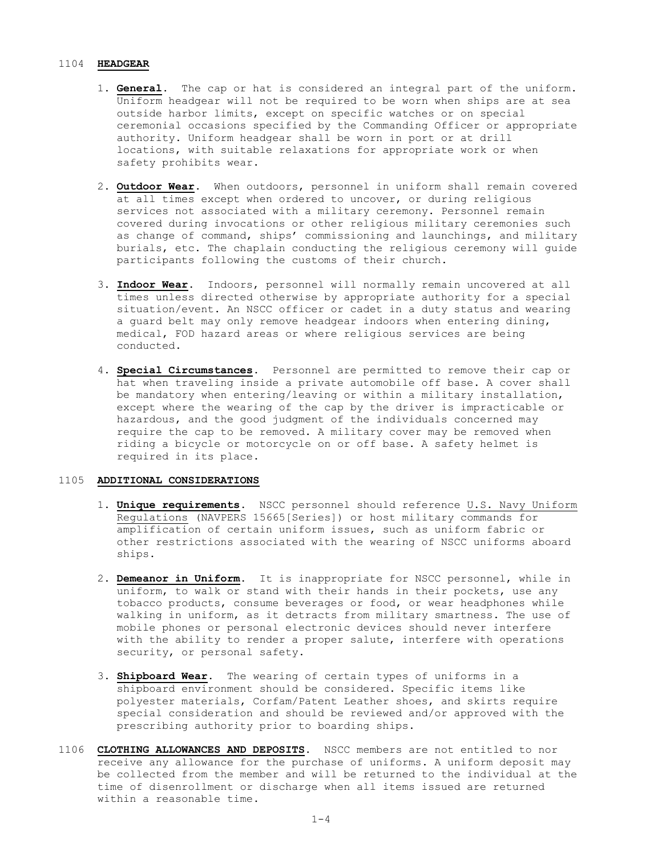# 1104 **HEADGEAR**

- 1. **General.** The cap or hat is considered an integral part of the uniform. Uniform headgear will not be required to be worn when ships are at sea outside harbor limits, except on specific watches or on special ceremonial occasions specified by the Commanding Officer or appropriate authority. Uniform headgear shall be worn in port or at drill locations, with suitable relaxations for appropriate work or when safety prohibits wear.
- 2. **Outdoor Wear**. When outdoors, personnel in uniform shall remain covered at all times except when ordered to uncover, or during religious services not associated with a military ceremony. Personnel remain covered during invocations or other religious military ceremonies such as change of command, ships' commissioning and launchings, and military burials, etc. The chaplain conducting the religious ceremony will guide participants following the customs of their church.
- 3. **Indoor Wear.** Indoors, personnel will normally remain uncovered at all times unless directed otherwise by appropriate authority for a special situation/event. An NSCC officer or cadet in a duty status and wearing a guard belt may only remove headgear indoors when entering dining, medical, FOD hazard areas or where religious services are being conducted.
- 4. **Special Circumstances.** Personnel are permitted to remove their cap or hat when traveling inside a private automobile off base. A cover shall be mandatory when entering/leaving or within a military installation, except where the wearing of the cap by the driver is impracticable or hazardous, and the good judgment of the individuals concerned may require the cap to be removed. A military cover may be removed when riding a bicycle or motorcycle on or off base. A safety helmet is required in its place.

# 1105 **ADDITIONAL CONSIDERATIONS**

- 1. **Unique requirements.** NSCC personnel should reference U.S. Navy Uniform Regulations (NAVPERS 15665[Series]) or host military commands for amplification of certain uniform issues, such as uniform fabric or other restrictions associated with the wearing of NSCC uniforms aboard ships.
- 2. **Demeanor in Uniform.** It is inappropriate for NSCC personnel, while in uniform, to walk or stand with their hands in their pockets, use any tobacco products, consume beverages or food, or wear headphones while walking in uniform, as it detracts from military smartness. The use of mobile phones or personal electronic devices should never interfere with the ability to render a proper salute, interfere with operations security, or personal safety.
- 3. **Shipboard Wear**. The wearing of certain types of uniforms in a shipboard environment should be considered. Specific items like polyester materials, Corfam/Patent Leather shoes, and skirts require special consideration and should be reviewed and/or approved with the prescribing authority prior to boarding ships.
- 1106 **CLOTHING ALLOWANCES AND DEPOSITS**. NSCC members are not entitled to nor receive any allowance for the purchase of uniforms. A uniform deposit may be collected from the member and will be returned to the individual at the time of disenrollment or discharge when all items issued are returned within a reasonable time.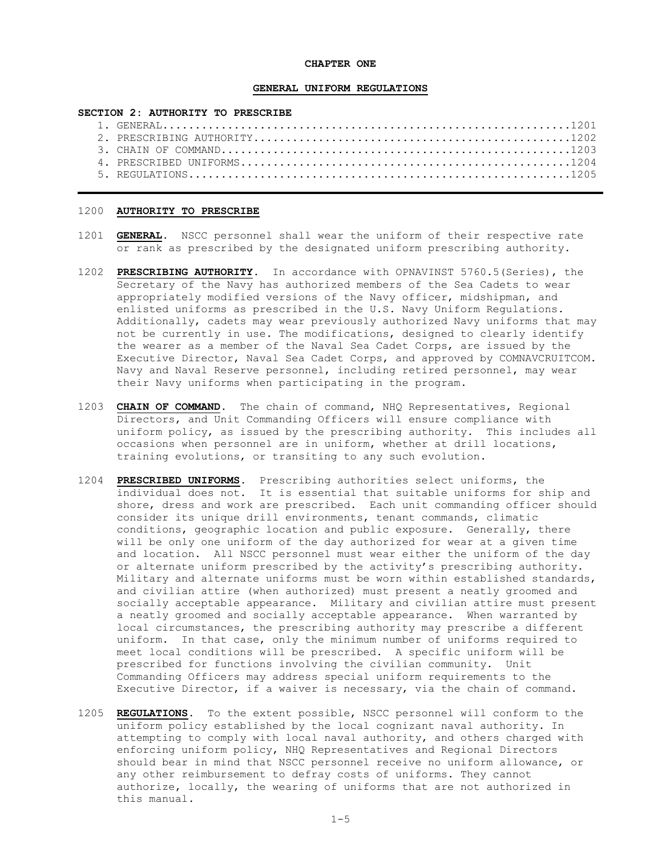## **GENERAL UNIFORM REGULATIONS**

## **SECTION 2: AUTHORITY TO PRESCRIBE**

#### 1200 **AUTHORITY TO PRESCRIBE**

- 1201 **GENERAL**. NSCC personnel shall wear the uniform of their respective rate or rank as prescribed by the designated uniform prescribing authority.
- 1202 **PRESCRIBING AUTHORITY**. In accordance with OPNAVINST 5760.5(Series), the Secretary of the Navy has authorized members of the Sea Cadets to wear appropriately modified versions of the Navy officer, midshipman, and enlisted uniforms as prescribed in the U.S. Navy Uniform Regulations. Additionally, cadets may wear previously authorized Navy uniforms that may not be currently in use. The modifications, designed to clearly identify the wearer as a member of the Naval Sea Cadet Corps, are issued by the Executive Director, Naval Sea Cadet Corps, and approved by COMNAVCRUITCOM. Navy and Naval Reserve personnel, including retired personnel, may wear their Navy uniforms when participating in the program.
- 1203 **CHAIN OF COMMAND**. The chain of command, NHQ Representatives, Regional Directors, and Unit Commanding Officers will ensure compliance with uniform policy, as issued by the prescribing authority. This includes all occasions when personnel are in uniform, whether at drill locations, training evolutions, or transiting to any such evolution.
- 1204 **PRESCRIBED UNIFORMS**. Prescribing authorities select uniforms, the individual does not. It is essential that suitable uniforms for ship and shore, dress and work are prescribed. Each unit commanding officer should consider its unique drill environments, tenant commands, climatic conditions, geographic location and public exposure. Generally, there will be only one uniform of the day authorized for wear at a given time and location. All NSCC personnel must wear either the uniform of the day or alternate uniform prescribed by the activity's prescribing authority. Military and alternate uniforms must be worn within established standards, and civilian attire (when authorized) must present a neatly groomed and socially acceptable appearance. Military and civilian attire must present a neatly groomed and socially acceptable appearance. When warranted by local circumstances, the prescribing authority may prescribe a different uniform. In that case, only the minimum number of uniforms required to meet local conditions will be prescribed. A specific uniform will be prescribed for functions involving the civilian community. Unit Commanding Officers may address special uniform requirements to the Executive Director, if a waiver is necessary, via the chain of command.
- 1205 **REGULATIONS**. To the extent possible, NSCC personnel will conform to the uniform policy established by the local cognizant naval authority. In attempting to comply with local naval authority, and others charged with enforcing uniform policy, NHQ Representatives and Regional Directors should bear in mind that NSCC personnel receive no uniform allowance, or any other reimbursement to defray costs of uniforms. They cannot authorize, locally, the wearing of uniforms that are not authorized in this manual.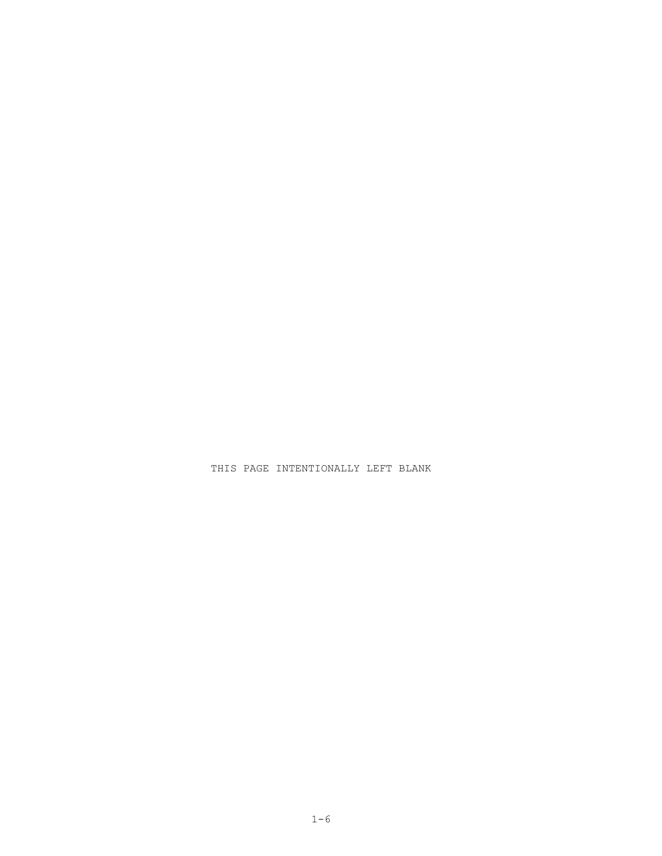THIS PAGE INTENTIONALLY LEFT BLANK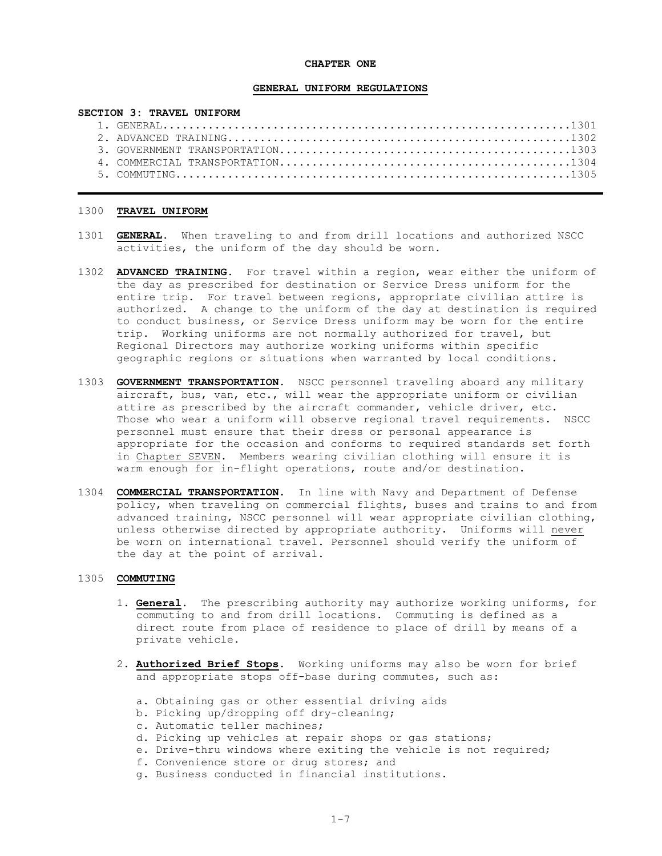## **GENERAL UNIFORM REGULATIONS**

#### **SECTION 3: TRAVEL UNIFORM**

#### 1300 **TRAVEL UNIFORM**

- 1301 **GENERAL**. When traveling to and from drill locations and authorized NSCC activities, the uniform of the day should be worn.
- 1302 **ADVANCED TRAINING**. For travel within a region, wear either the uniform of the day as prescribed for destination or Service Dress uniform for the entire trip. For travel between regions, appropriate civilian attire is authorized. A change to the uniform of the day at destination is required to conduct business, or Service Dress uniform may be worn for the entire trip. Working uniforms are not normally authorized for travel, but Regional Directors may authorize working uniforms within specific geographic regions or situations when warranted by local conditions.
- 1303 **GOVERNMENT TRANSPORTATION**. NSCC personnel traveling aboard any military aircraft, bus, van, etc., will wear the appropriate uniform or civilian attire as prescribed by the aircraft commander, vehicle driver, etc. Those who wear a uniform will observe regional travel requirements. NSCC personnel must ensure that their dress or personal appearance is appropriate for the occasion and conforms to required standards set forth in Chapter SEVEN. Members wearing civilian clothing will ensure it is warm enough for in-flight operations, route and/or destination.
- 1304 **COMMERCIAL TRANSPORTATION**. In line with Navy and Department of Defense policy, when traveling on commercial flights, buses and trains to and from advanced training, NSCC personnel will wear appropriate civilian clothing, unless otherwise directed by appropriate authority. Uniforms will never be worn on international travel. Personnel should verify the uniform of the day at the point of arrival.

# 1305 **COMMUTING**

- 1. **General**. The prescribing authority may authorize working uniforms, for commuting to and from drill locations. Commuting is defined as a direct route from place of residence to place of drill by means of a private vehicle.
- 2. **Authorized Brief Stops**. Working uniforms may also be worn for brief and appropriate stops off-base during commutes, such as:
	- a. Obtaining gas or other essential driving aids
	- b. Picking up/dropping off dry-cleaning;
	- c. Automatic teller machines;
	- d. Picking up vehicles at repair shops or gas stations;
	- e. Drive-thru windows where exiting the vehicle is not required;
	- f. Convenience store or drug stores; and
	- g. Business conducted in financial institutions.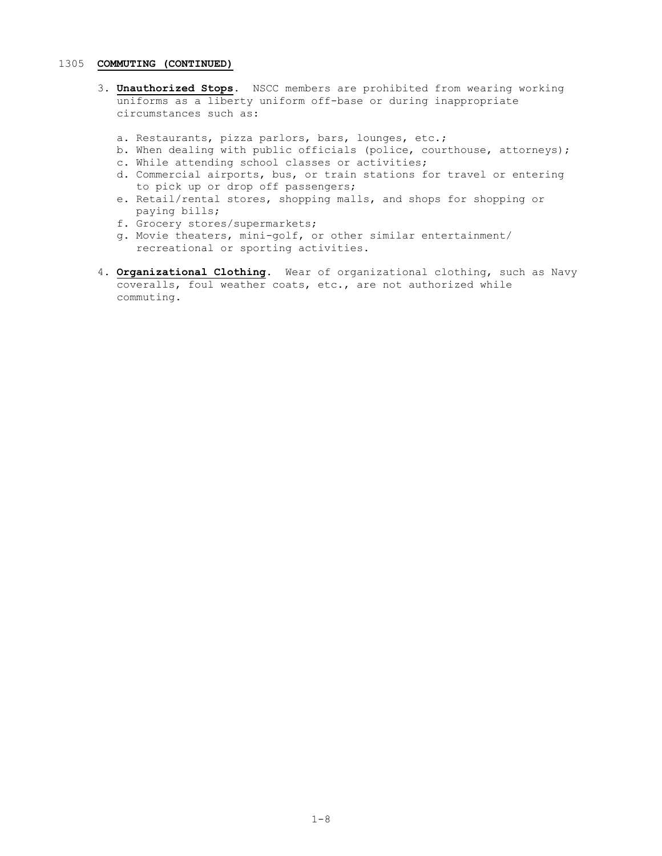## 1305 **COMMUTING (CONTINUED)**

- 3. **Unauthorized Stops**. NSCC members are prohibited from wearing working uniforms as a liberty uniform off-base or during inappropriate circumstances such as:
	- a. Restaurants, pizza parlors, bars, lounges, etc.;
	- b. When dealing with public officials (police, courthouse, attorneys);
	- c. While attending school classes or activities;
	- d. Commercial airports, bus, or train stations for travel or entering to pick up or drop off passengers;
	- e. Retail/rental stores, shopping malls, and shops for shopping or paying bills;
	- f. Grocery stores/supermarkets;
	- g. Movie theaters, mini-golf, or other similar entertainment/ recreational or sporting activities.
- 4. **Organizational Clothing**. Wear of organizational clothing, such as Navy coveralls, foul weather coats, etc., are not authorized while commuting.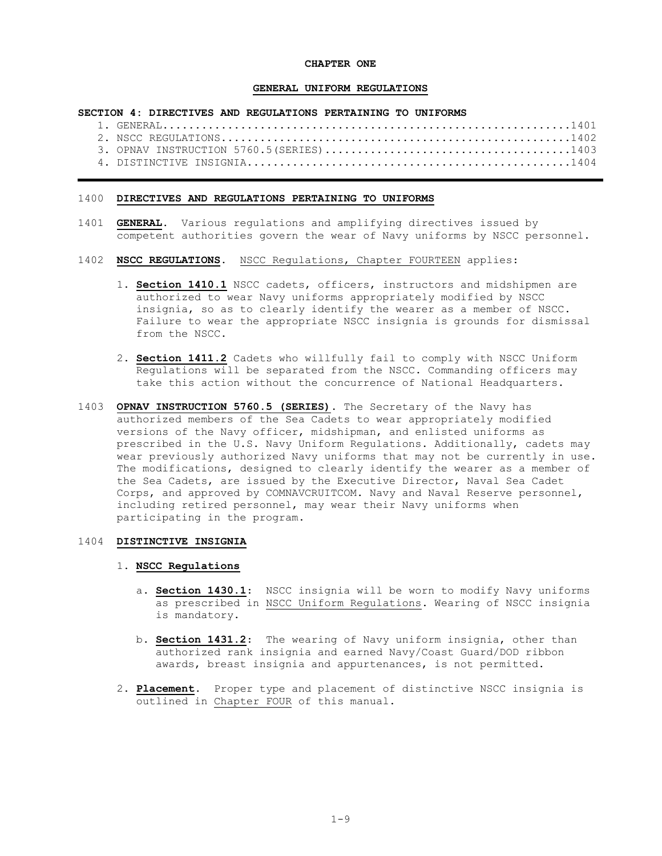#### **GENERAL UNIFORM REGULATIONS**

**SECTION 4: DIRECTIVES AND REGULATIONS PERTAINING TO UNIFORMS**

## 1400 **DIRECTIVES AND REGULATIONS PERTAINING TO UNIFORMS**

- 1401 **GENERAL**. Various regulations and amplifying directives issued by competent authorities govern the wear of Navy uniforms by NSCC personnel.
- 1402 **NSCC REGULATIONS**. NSCC Regulations, Chapter FOURTEEN applies:
	- 1. **Section 1410.1** NSCC cadets, officers, instructors and midshipmen are authorized to wear Navy uniforms appropriately modified by NSCC insignia, so as to clearly identify the wearer as a member of NSCC. Failure to wear the appropriate NSCC insignia is grounds for dismissal from the NSCC.
	- 2. **Section 1411.2** Cadets who willfully fail to comply with NSCC Uniform Regulations will be separated from the NSCC. Commanding officers may take this action without the concurrence of National Headquarters.
- 1403 **OPNAV INSTRUCTION 5760.5 (SERIES)**. The Secretary of the Navy has authorized members of the Sea Cadets to wear appropriately modified versions of the Navy officer, midshipman, and enlisted uniforms as prescribed in the U.S. Navy Uniform Regulations. Additionally, cadets may wear previously authorized Navy uniforms that may not be currently in use. The modifications, designed to clearly identify the wearer as a member of the Sea Cadets, are issued by the Executive Director, Naval Sea Cadet Corps, and approved by COMNAVCRUITCOM. Navy and Naval Reserve personnel, including retired personnel, may wear their Navy uniforms when participating in the program.

## 1404 **DISTINCTIVE INSIGNIA**

- 1. **NSCC Regulations**
	- a. **Section 1430.1**: NSCC insignia will be worn to modify Navy uniforms as prescribed in NSCC Uniform Regulations. Wearing of NSCC insignia is mandatory.
	- b. **Section 1431.2**: The wearing of Navy uniform insignia, other than authorized rank insignia and earned Navy/Coast Guard/DOD ribbon awards, breast insignia and appurtenances, is not permitted.
- 2. **Placement**. Proper type and placement of distinctive NSCC insignia is outlined in Chapter FOUR of this manual.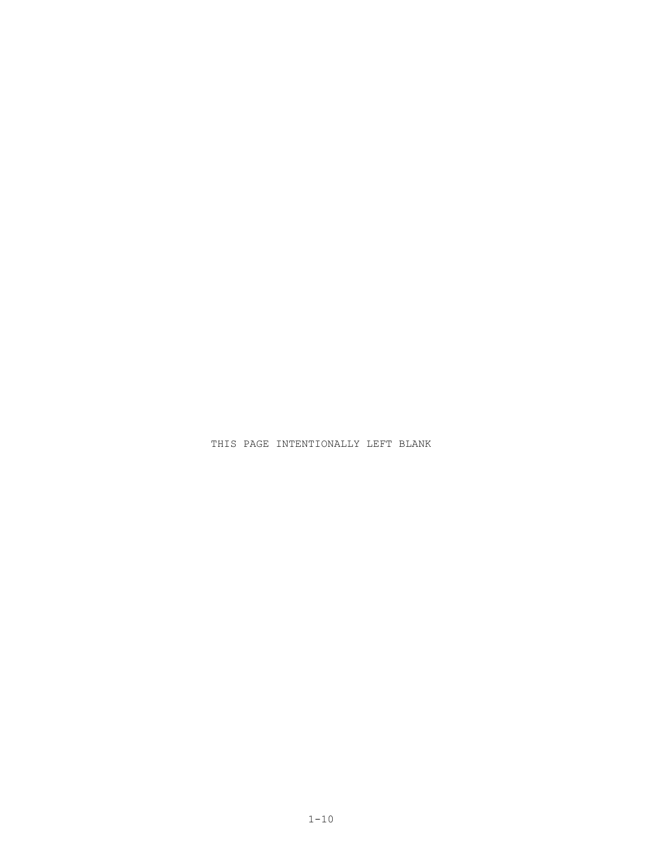THIS PAGE INTENTIONALLY LEFT BLANK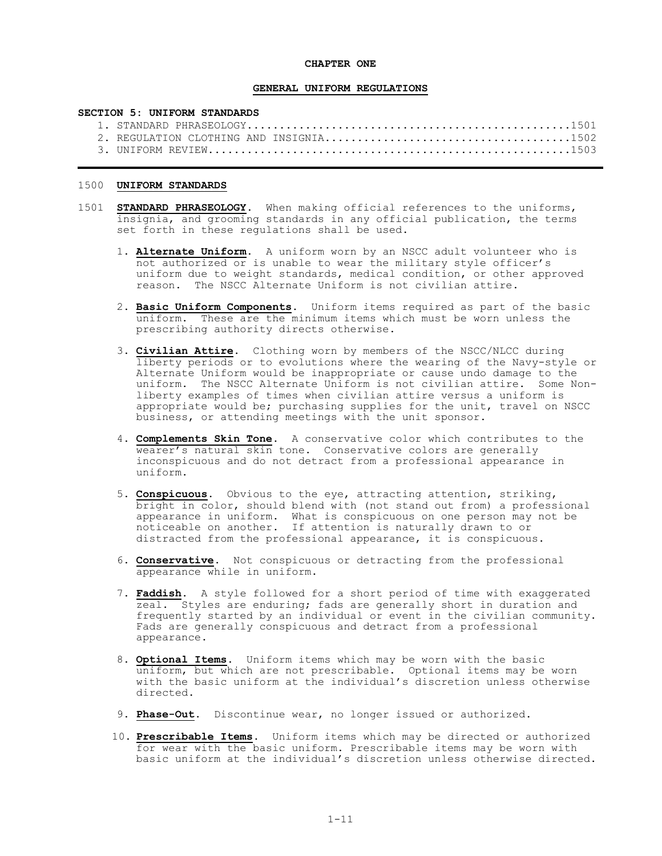### **GENERAL UNIFORM REGULATIONS**

## **SECTION 5: UNIFORM STANDARDS**

### 1500 **UNIFORM STANDARDS**

- 1501 **STANDARD PHRASEOLOGY**. When making official references to the uniforms, insignia, and grooming standards in any official publication, the terms set forth in these regulations shall be used.
	- 1. **Alternate Uniform**. A uniform worn by an NSCC adult volunteer who is not authorized or is unable to wear the military style officer's uniform due to weight standards, medical condition, or other approved reason. The NSCC Alternate Uniform is not civilian attire.
	- 2. **Basic Uniform Components**. Uniform items required as part of the basic uniform. These are the minimum items which must be worn unless the prescribing authority directs otherwise.
	- 3. **Civilian Attire**. Clothing worn by members of the NSCC/NLCC during liberty periods or to evolutions where the wearing of the Navy-style or Alternate Uniform would be inappropriate or cause undo damage to the uniform. The NSCC Alternate Uniform is not civilian attire. Some Nonliberty examples of times when civilian attire versus a uniform is appropriate would be; purchasing supplies for the unit, travel on NSCC business, or attending meetings with the unit sponsor.
	- 4. **Complements Skin Tone**. A conservative color which contributes to the wearer's natural skin tone. Conservative colors are generally inconspicuous and do not detract from a professional appearance in uniform.
	- 5. **Conspicuous**. Obvious to the eye, attracting attention, striking, bright in color, should blend with (not stand out from) a professional appearance in uniform. What is conspicuous on one person may not be noticeable on another. If attention is naturally drawn to or distracted from the professional appearance, it is conspicuous.
	- 6. **Conservative**. Not conspicuous or detracting from the professional appearance while in uniform.
	- 7. **Faddish**. A style followed for a short period of time with exaggerated zeal. Styles are enduring; fads are generally short in duration and frequently started by an individual or event in the civilian community. Fads are generally conspicuous and detract from a professional appearance.
	- 8. **Optional Items**. Uniform items which may be worn with the basic uniform, but which are not prescribable. Optional items may be worn with the basic uniform at the individual's discretion unless otherwise directed.
	- 9. **Phase-Out**. Discontinue wear, no longer issued or authorized**.**
	- 10. **Prescribable Items**. Uniform items which may be directed or authorized for wear with the basic uniform. Prescribable items may be worn with basic uniform at the individual's discretion unless otherwise directed.